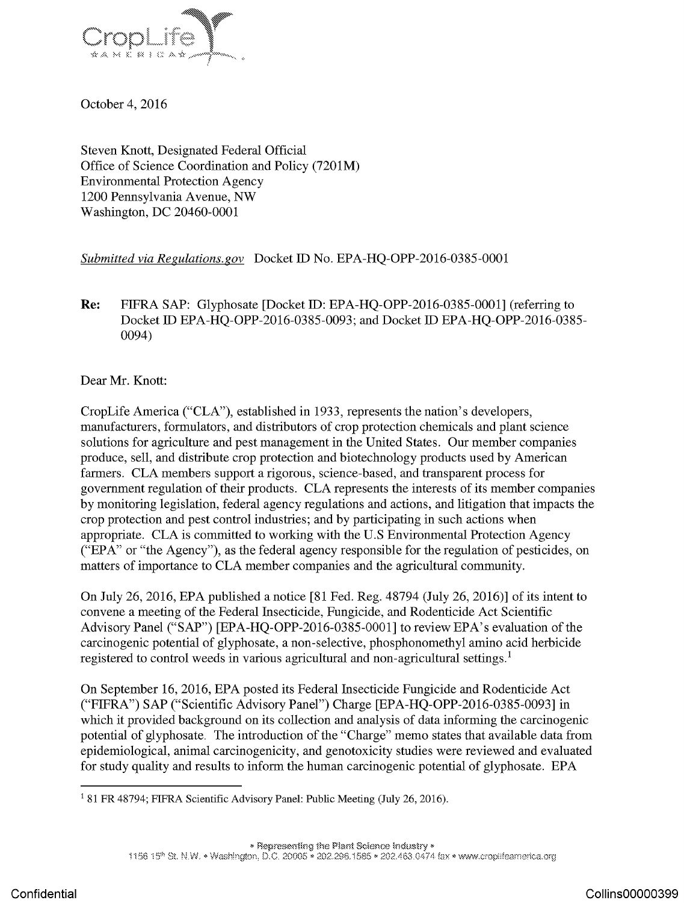

October 4, 2016

Steven Knott, Designated Federal Official Office of Science Coordination and Policy (7201M) Environmental Protection Agency <sup>1200</sup> Pennsylvania Avenue, NW Washington, DC 20460-0001

## Submitted via Regulations.gov Docket ID No. EPA-HQ-OPP-2016-0385-0001

Re: FIFRA SAP: Glyphosate [Docket ID: EPA-HQ-OPP-2016-0385-0001] (referring to Docket ID EPA-HQ-OPP-2016-0385-0093; and Docket ID EPA-HQ-OPP-2016-0385- 0094)

Dear Mr. Knott:

CropLife America ("CLA"), established in 1933, represents the nation's developers, manufacturers, formulators, and distributors of crop protection chemicals and plant science solutions for agriculture and pest management in the United States. Our member companies produce, sell, and distribute crop protection and biotechnology products used by American farmers. CLA members support <sup>a</sup> rigorous, science-based, and transparent process for government regulation of their products. CLA represents the interests of its member companies by monitoring legislation, federal agency regulations and actions, and litigation that impacts the crop protection and pest control industries; and by participating in such actions when appropriate. CLA is committed to working with the U.S Environmental Protection Agency ("EPA" or "the Agency"), as the federal agency responsible for the regulation of pesticides, on matters of importance to CLA member companies and the agricultural community.

On July 26, 2016, EPA published <sup>a</sup> notice [81 Fed. Reg. 48794 (July 26, 2016)] of its intent to convene a meeting of the Federal Insecticide, Fungicide, and Rodenticide Act Scientific Advisory Panel ("SAP") [EPA-HQ-OPP-2016-0385-0001] to review EPA's evaluation of the carcinogenic potential of glyphosate, a non-selective, phosphonomethyl amino acid herbicide registered to control weeds in various agricultural and non-agricultural settings.<sup>1</sup>

On September 16, 2016, EPA posted its Federal Insecticide Fungicide and Rodenticide Act ("FIFRA") SAP ("Scientific Advisory Panel") Charge [EPA-HQ-OPP-2016-0385-0093] in which it provided background on its collection and analysis of data informing the carcinogenic potential of glyphosate. The introduction of the "Charge" memo states that available data from epidemiological, animal carcinogenicity, and genotoxicity studies were reviewed and evaluated for study quality and results to inform the human carcinogenic potential of glyphosate. EPA

<sup>&</sup>lt;sup>1</sup> 81 FR 48794; FIFRA Scientific Advisory Panel: Public Meeting (July 26, 2016).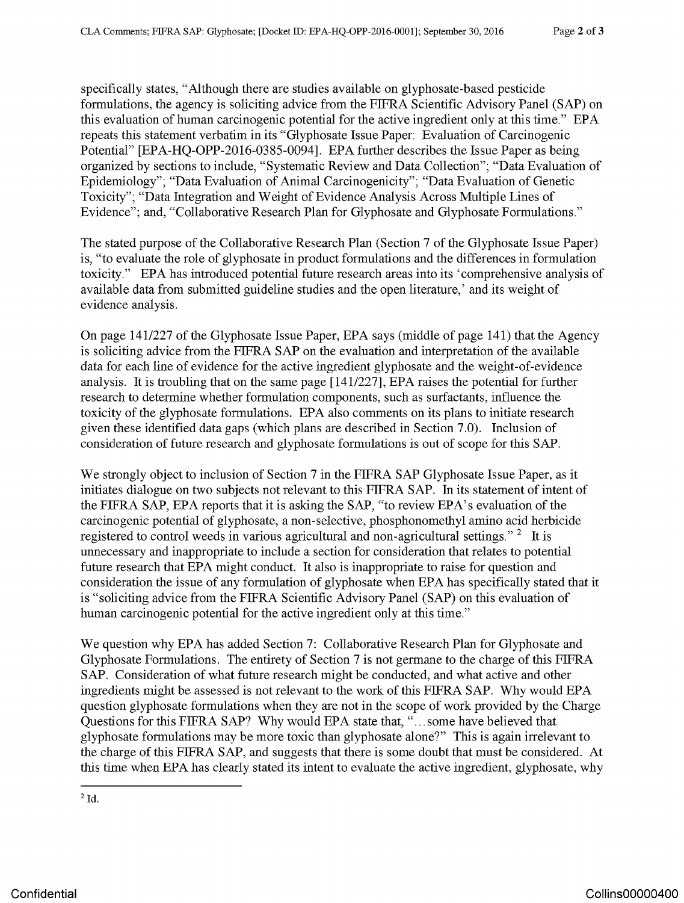specifically states, "Although there are studies available on glyphosate-based pesticide formulations, the agency is soliciting advice from the FIFRA Scientific Advisory Panel (SAP) on this evaluation of human carcinogenic potential for the active ingredient only at this time." EPA repeats this statement verbatim in its "Glyphosate Issue Paper: Evaluation of Carcinogenic Potential" [EPA-HO-OPP-2016-0385-0094]. EPA further describes the Issue Paper as being organized by sections to include, " Systematic Review and Data Collection"; " Data Evaluation of Epidemiology"; "Data Evaluation of Animal Carcinogenicity"; "Data Evaluation of Genetic Toxicity"; "Data Integration and Weight of Evidence Analysis Across Multiple Lines of Evidence"; and, "Collaborative Research Plan for Glyphosate and Glyphosate Formulations."

The stated purpose of the Collaborative Research Plan (Section 7 of the Glyphosate Issue Paper) is, "to evaluate the role of glyphosate in product formulations and the differences in formulation toxicity." EPA has introduced potential future research areas into its 'comprehensive analysis of available data from submitted guideline studies and the open literature,' and its weight of evidence analysis.

On page 141/227 of the [Glyphosate](https://www.baumhedlundlaw.com/) Issue Paper, EPA says (middle of page 141) that the Agency is soliciting advice from the FIFRA SAP on the evaluation and interpretation of the available data for each line of evidence for the active ingredient glyphosate and the weight-of-evidence analysis. It is troubling that on the same page [141/227], EPA raises the potential for further research to determine whether formulation components, such as surfactants, influence the toxicity of the glyphosate formulations. EPA also comments on its plans to initiate research given these identified data gaps (which plans are described in Section 7.0). Inclusion of consideration of future research and glyphosate formulations is out of scope for this SAP.

We strongly object to inclusion of Section <sup>7</sup> in the FIFRA SAP Glyphosate Issue Paper, as it initiates dialogue on two subjects not relevant to this FIFRA SAP. In its statement of intent of the FIFRA SAP, EPA reports that it is asking the SAP, "to review EPA's evaluation of the carcinogenic potential of glyphosate , a non-selective, phosphonomethyl amino acid herbicide registered to control weeds in various agricultural and non-agricultural settings."  $2\text{ }$  It is unnecessary and inappropriate to include a section for consideration that relates to potential future research that EPA might conduct. It also is inappropriate to raise for question and consideration the issue of any formulation of glyphosate when EPA has specifically stated that it is "soliciting advice from the FIFRA Scientific Advisory Panel ( SAP) on this evaluation of human carcinogenic potential for the active ingredient only at this time."

We question why EPA has added Section 7: Collaborative Research Plan for Glyphosate and Glyphosate Formulations. The entirety of Section 7 is not germane to the charge of this FIFRA SAP. Consideration of what future research might be conducted, and what active and other ingredients might be assessed is not relevant to the work of this FIFRA SAP. Why would EPA question glyphosate formulations when they are not in the scope of work provided by the Charge Questions for this FIFRA SAP? Why would EPA state that, "... some have believed that glyphosate formulations may be more toxic than glyphosate alone?" This is again irrelevant to the charge of this FIFRA SAP, and suggests that there is some doubt that must be considered. At this time when EPA has clearly stated its intent to evaluate the active ingredient, glyphosate, why

 $2$  Id.